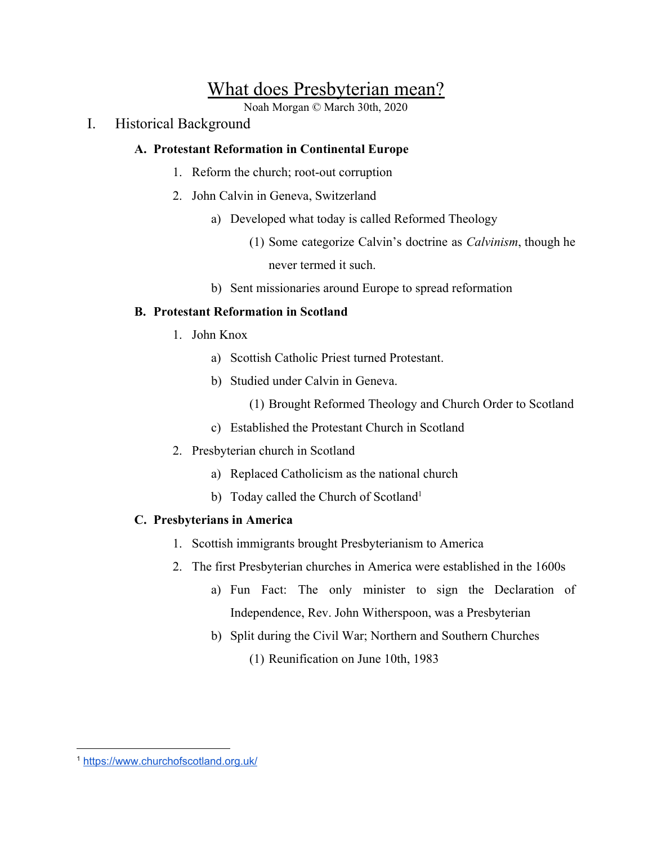# What does Presbyterian mean?

Noah Morgan © March 30th, 2020

I. Historical Background

## **A. Protestant Reformation in Continental Europe**

- 1. Reform the church; root-out corruption
- 2. John Calvin in Geneva, Switzerland
	- a) Developed what today is called Reformed Theology
		- (1) Some categorize Calvin's doctrine as *Calvinism*, though he never termed it such.
	- b) Sent missionaries around Europe to spread reformation

## **B. Protestant Reformation in Scotland**

- 1. John Knox
	- a) Scottish Catholic Priest turned Protestant.
	- b) Studied under Calvin in Geneva.
		- (1) Brought Reformed Theology and Church Order to Scotland
	- c) Established the Protestant Church in Scotland
- 2. Presbyterian church in Scotland
	- a) Replaced Catholicism as the national church
	- b) Today called the Church of Scotland<sup>1</sup>

## **C. Presbyterians in America**

- 1. Scottish immigrants brought Presbyterianism to America
- 2. The first Presbyterian churches in America were established in the 1600s
	- a) Fun Fact: The only minister to sign the Declaration of Independence, Rev. John Witherspoon, was a Presbyterian
	- b) Split during the Civil War; Northern and Southern Churches
		- (1) Reunification on June 10th, 1983

<sup>1</sup> <https://www.churchofscotland.org.uk/>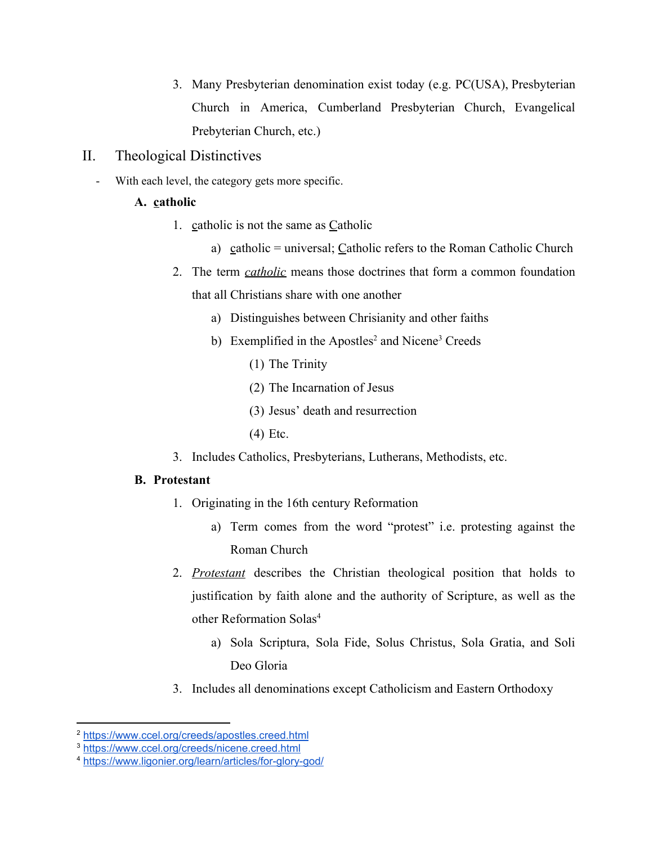- 3. Many Presbyterian denomination exist today (e.g. PC(USA), Presbyterian Church in America, Cumberland Presbyterian Church, Evangelical Prebyterian Church, etc.)
- II. Theological Distinctives
	- With each level, the category gets more specific.

### **A. catholic**

- 1. catholic is not the same as Catholic
	- a) catholic = universal; Catholic refers to the Roman Catholic Church
- 2. The term *catholic* means those doctrines that form a common foundation that all Christians share with one another
	- a) Distinguishes between Chrisianity and other faiths
	- b) Exemplified in the Apostles<sup>2</sup> and Nicene<sup>3</sup> Creeds
		- (1) The Trinity
		- (2) The Incarnation of Jesus
		- (3) Jesus' death and resurrection
		- (4) Etc.
- 3. Includes Catholics, Presbyterians, Lutherans, Methodists, etc.

#### **B. Protestant**

- 1. Originating in the 16th century Reformation
	- a) Term comes from the word "protest" i.e. protesting against the Roman Church
- 2. *Protestant* describes the Christian theological position that holds to justification by faith alone and the authority of Scripture, as well as the other Reformation Solas<sup>4</sup>
	- a) Sola Scriptura, Sola Fide, Solus Christus, Sola Gratia, and Soli Deo Gloria
- 3. Includes all denominations except Catholicism and Eastern Orthodoxy

<sup>2</sup> <https://www.ccel.org/creeds/apostles.creed.html>

<sup>3</sup> <https://www.ccel.org/creeds/nicene.creed.html>

<sup>4</sup> <https://www.ligonier.org/learn/articles/for-glory-god/>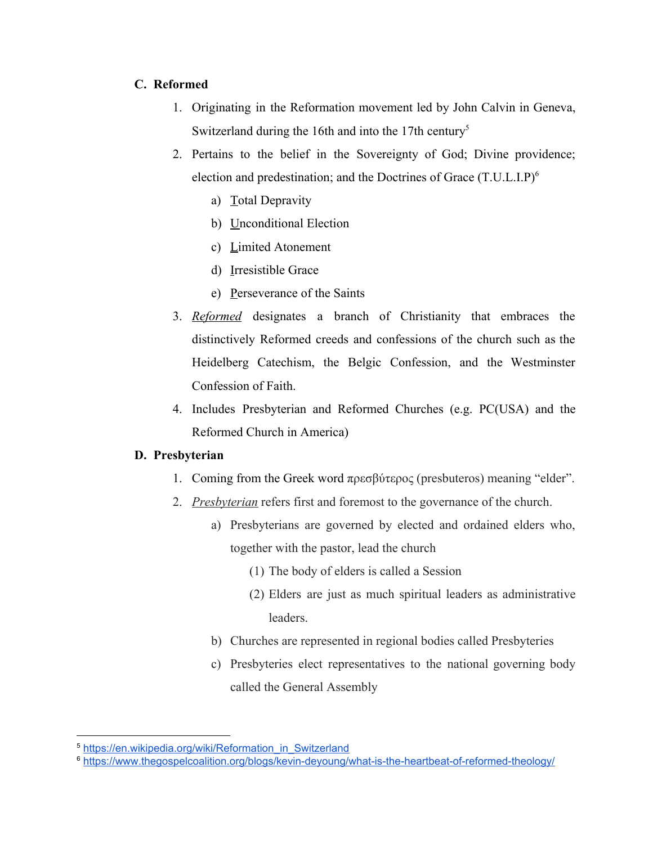#### **C. Reformed**

- 1. Originating in the Reformation movement led by John Calvin in Geneva, Switzerland during the 16th and into the 17th century<sup>5</sup>
- 2. Pertains to the belief in the Sovereignty of God; Divine providence; election and predestination; and the Doctrines of Grace (T.U.L.I.P)<sup>6</sup>
	- a) Total Depravity
	- b) Unconditional Election
	- c) Limited Atonement
	- d) Irresistible Grace
	- e) Perseverance of the Saints
- 3. *Reformed* designates a branch of Christianity that embraces the distinctively Reformed creeds and confessions of the church such as the Heidelberg Catechism, the Belgic Confession, and the Westminster Confession of Faith.
- 4. Includes Presbyterian and Reformed Churches (e.g. PC(USA) and the Reformed Church in America)

#### **D. Presbyterian**

- 1. Coming from the Greek word πρεσβύτερος (presbuteros) meaning "elder".
- 2. *Presbyterian* refers first and foremost to the governance of the church.
	- a) Presbyterians are governed by elected and ordained elders who, together with the pastor, lead the church
		- (1) The body of elders is called a Session
		- (2) Elders are just as much spiritual leaders as administrative leaders.
	- b) Churches are represented in regional bodies called Presbyteries
	- c) Presbyteries elect representatives to the national governing body called the General Assembly

<sup>5</sup> [https://en.wikipedia.org/wiki/Reformation\\_in\\_Switzerland](https://en.wikipedia.org/wiki/Reformation_in_Switzerland)

<sup>6</sup> <https://www.thegospelcoalition.org/blogs/kevin-deyoung/what-is-the-heartbeat-of-reformed-theology/>